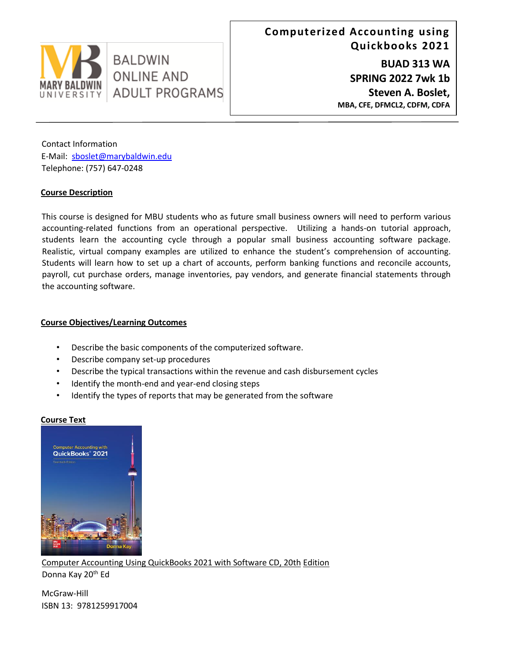

Contact Information E-Mail: sboslet@marybaldwin.edu Telephone: (757) 647-0248

# **Course Description**

This course is designed for MBU students who as future small business owners will need to perform various accounting-related functions from an operational perspective. Utilizing a hands-on tutorial approach, students learn the accounting cycle through a popular small business accounting software package. Realistic, virtual company examples are utilized to enhance the student's comprehension of accounting. Students will learn how to set up a chart of accounts, perform banking functions and reconcile accounts, payroll, cut purchase orders, manage inventories, pay vendors, and generate financial statements through the accounting software.

# **Course Objectives/Learning Outcomes**

- Describe the basic components of the computerized software.
- Describe company set-up procedures
- Describe the typical transactions within the revenue and cash disbursement cycles
- Identify the month-end and year-end closing steps
- Identify the types of reports that may be generated from the software

## **Course Text**



Computer Accounting Using QuickBooks 2021 with Software CD, 20th Edition

Donna Kay 20<sup>th</sup> Ed

McGraw-Hill ISBN 13: 9781259917004